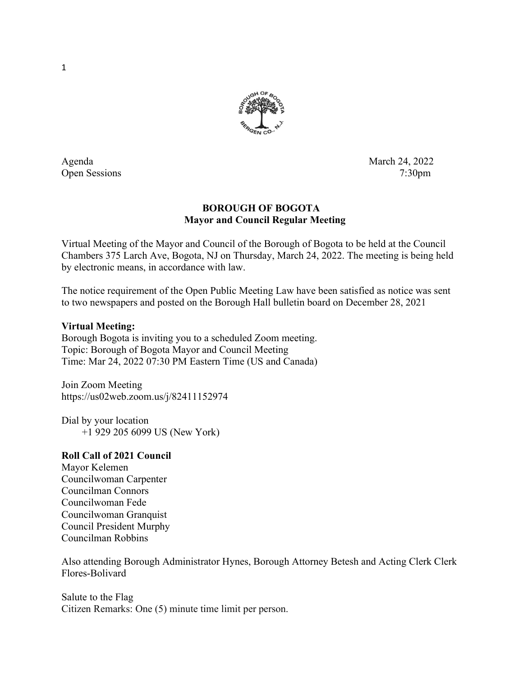

Agenda March 24, 2022 Open Sessions 7:30pm

# BOROUGH OF BOGOTA Mayor and Council Regular Meeting

Virtual Meeting of the Mayor and Council of the Borough of Bogota to be held at the Council Chambers 375 Larch Ave, Bogota, NJ on Thursday, March 24, 2022. The meeting is being held by electronic means, in accordance with law.

The notice requirement of the Open Public Meeting Law have been satisfied as notice was sent to two newspapers and posted on the Borough Hall bulletin board on December 28, 2021

## Virtual Meeting:

Borough Bogota is inviting you to a scheduled Zoom meeting. Topic: Borough of Bogota Mayor and Council Meeting Time: Mar 24, 2022 07:30 PM Eastern Time (US and Canada)

Join Zoom Meeting https://us02web.zoom.us/j/82411152974

Dial by your location +1 929 205 6099 US (New York)

# Roll Call of 2021 Council

Mayor Kelemen Councilwoman Carpenter Councilman Connors Councilwoman Fede Councilwoman Granquist Council President Murphy Councilman Robbins

Also attending Borough Administrator Hynes, Borough Attorney Betesh and Acting Clerk Clerk Flores-Bolivard

Salute to the Flag Citizen Remarks: One (5) minute time limit per person.